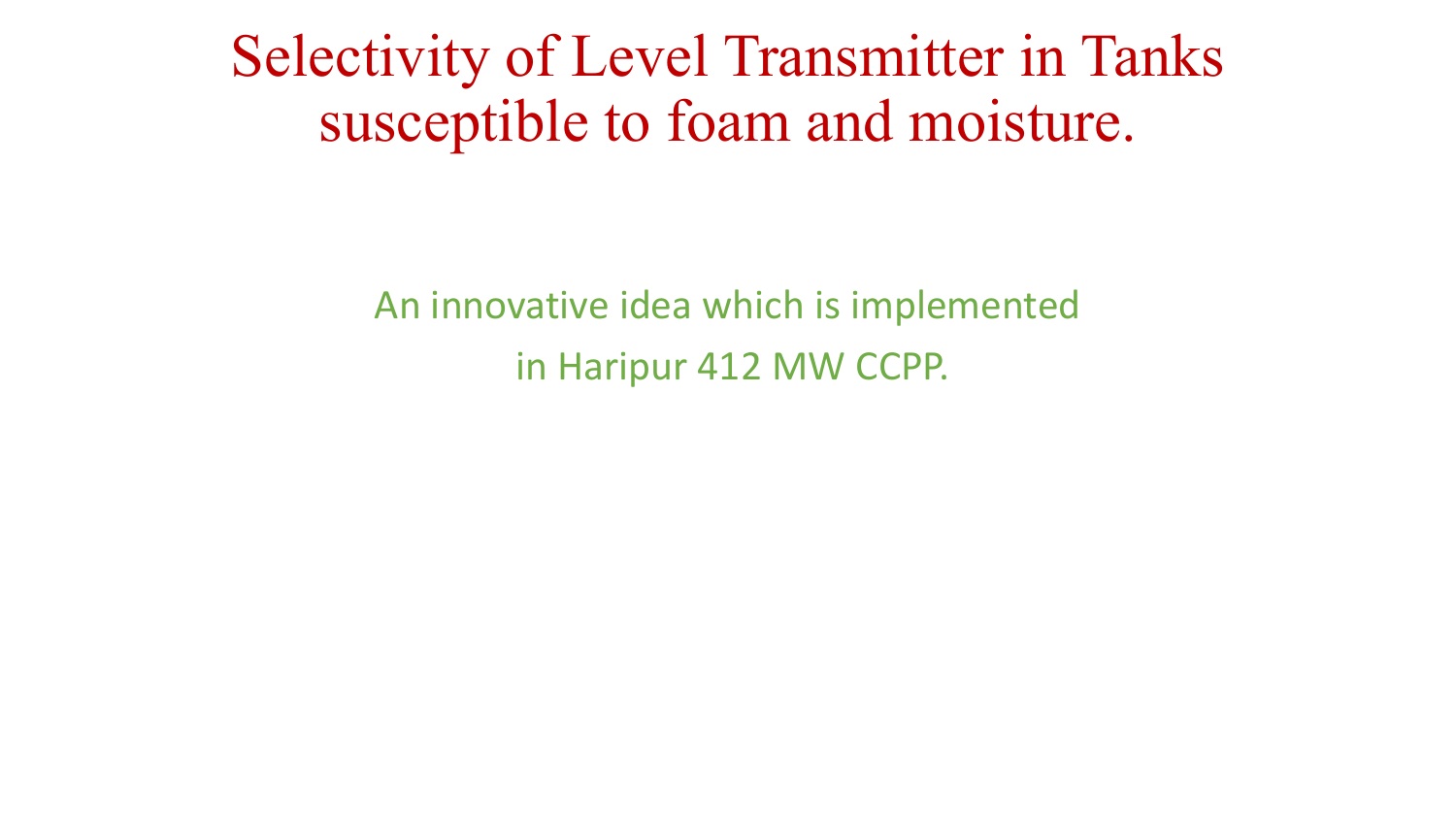Selectivity of Level Transmitter in Tanks susceptible to foam and moisture.

> An innovative idea which is implemented in Haripur 412 MW CCPP.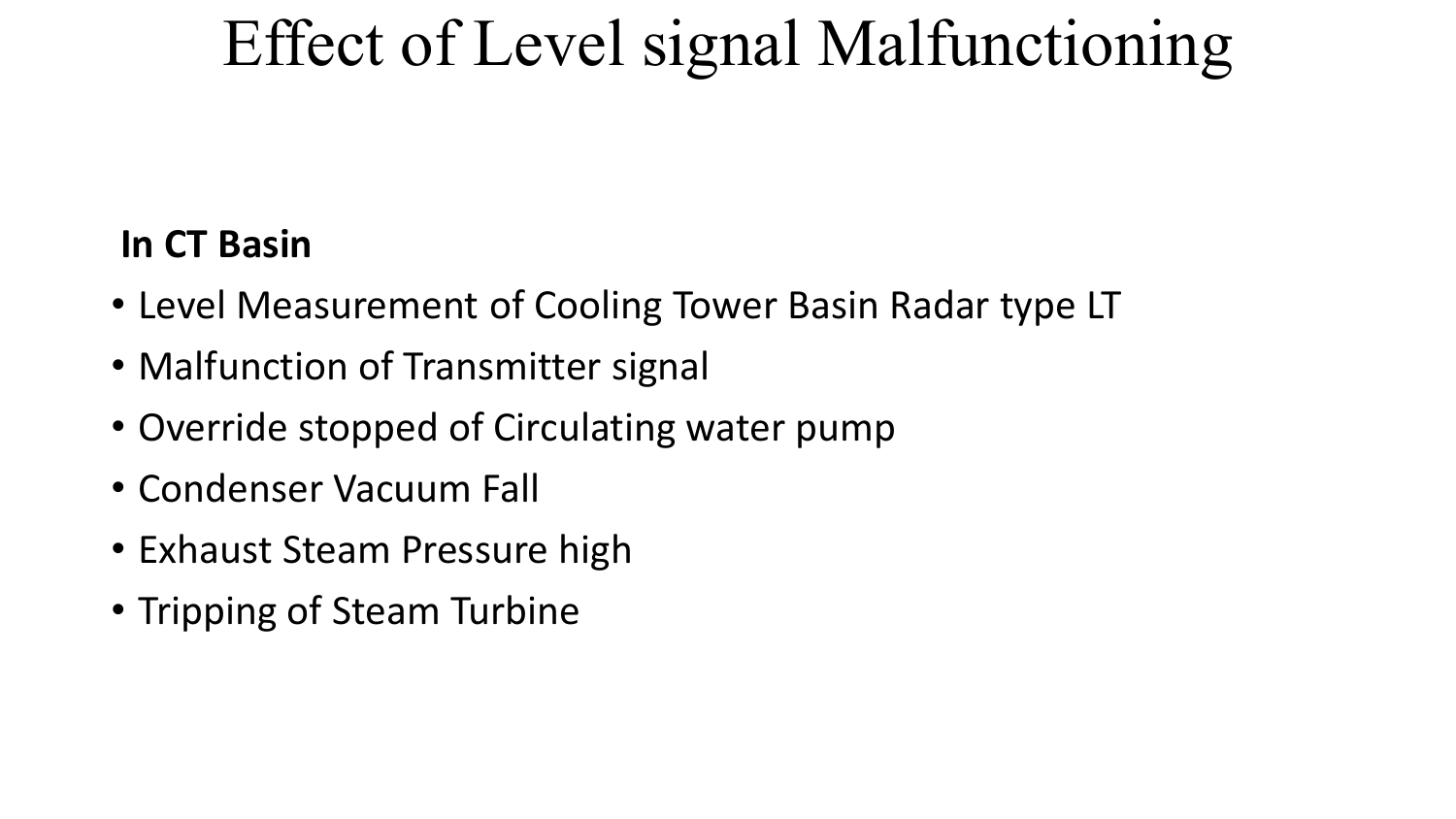# Effect of Level signal Malfunctioning

#### **In CT Basin**

- Level Measurement of Cooling Tower Basin Radar type LT
- Malfunction of Transmitter signal
- Override stopped of Circulating water pump
- Condenser Vacuum Fall
- Exhaust Steam Pressure high
- Tripping of Steam Turbine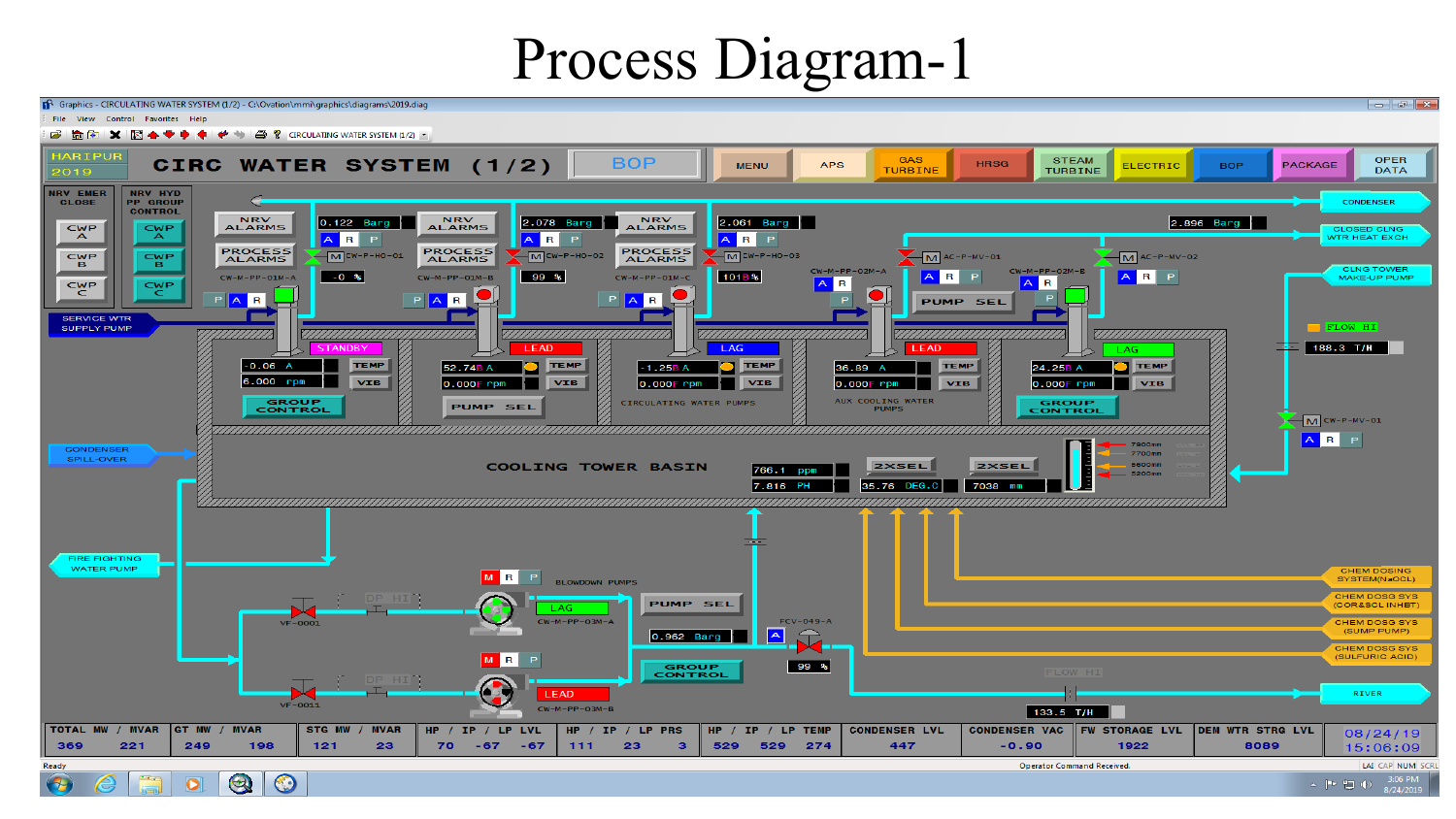#### Process Diagram-1

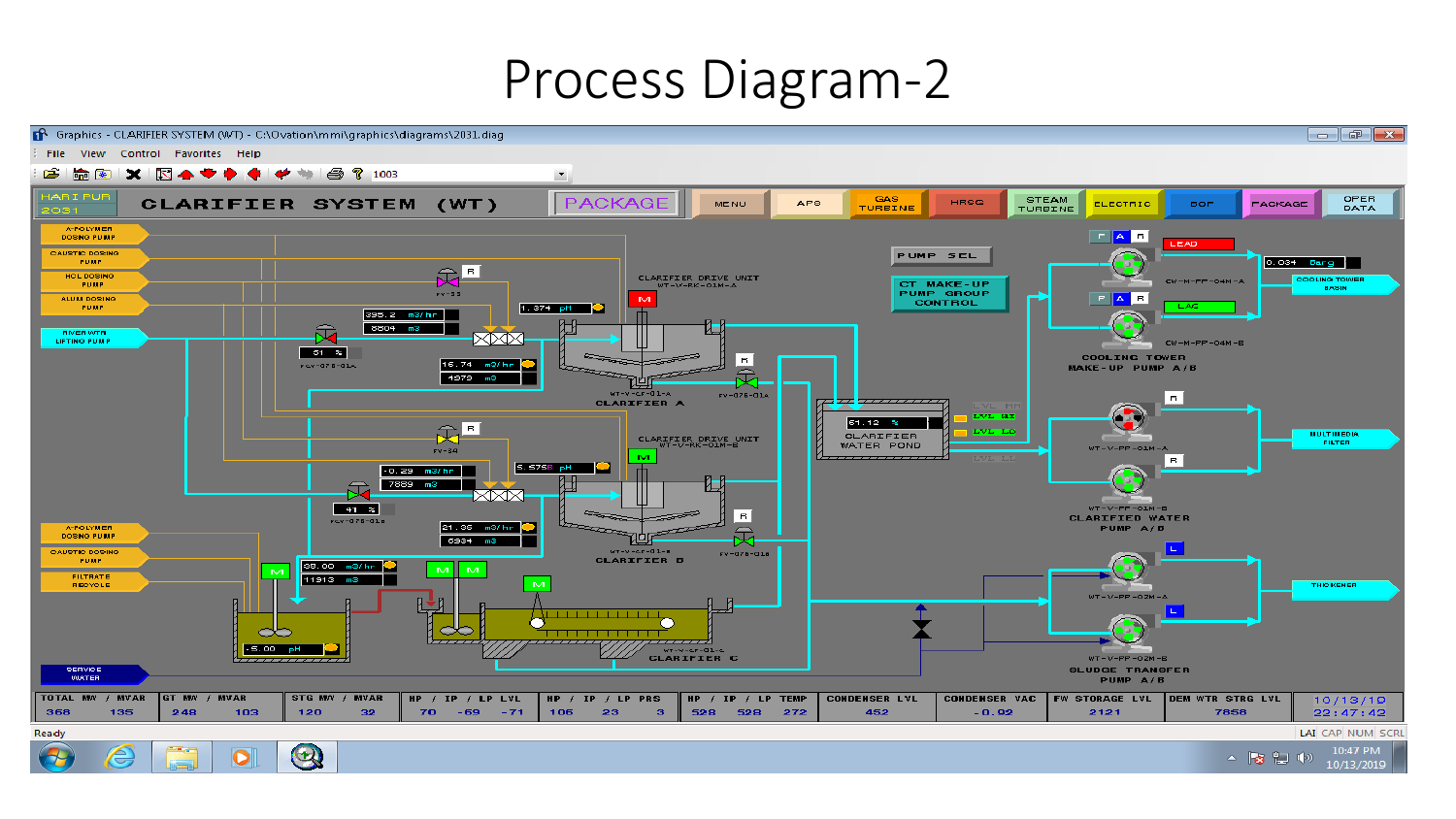#### Process Diagram-2

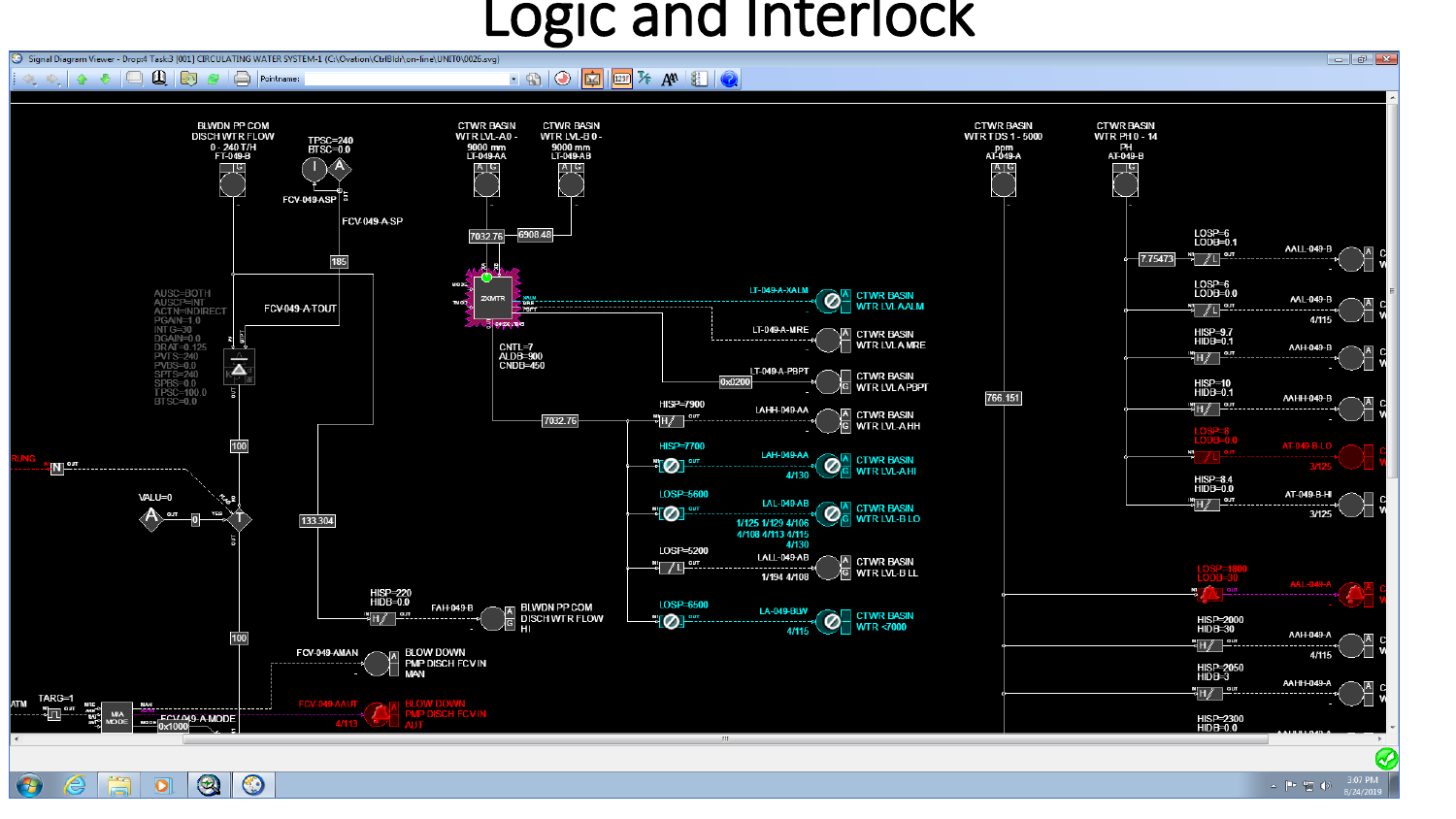### **DEIC and Interlet Inc. 2 Propel Taskes 10011 Circulating water system.1 (C:\Ovation\CtriBldr\on-line\UNIT0\0026.svg)**



 $\bigcirc$ 

 $\overline{\mathbf{o}}$ 

 $\odot$ 

3:07 PM ▲ ■ 割 (6)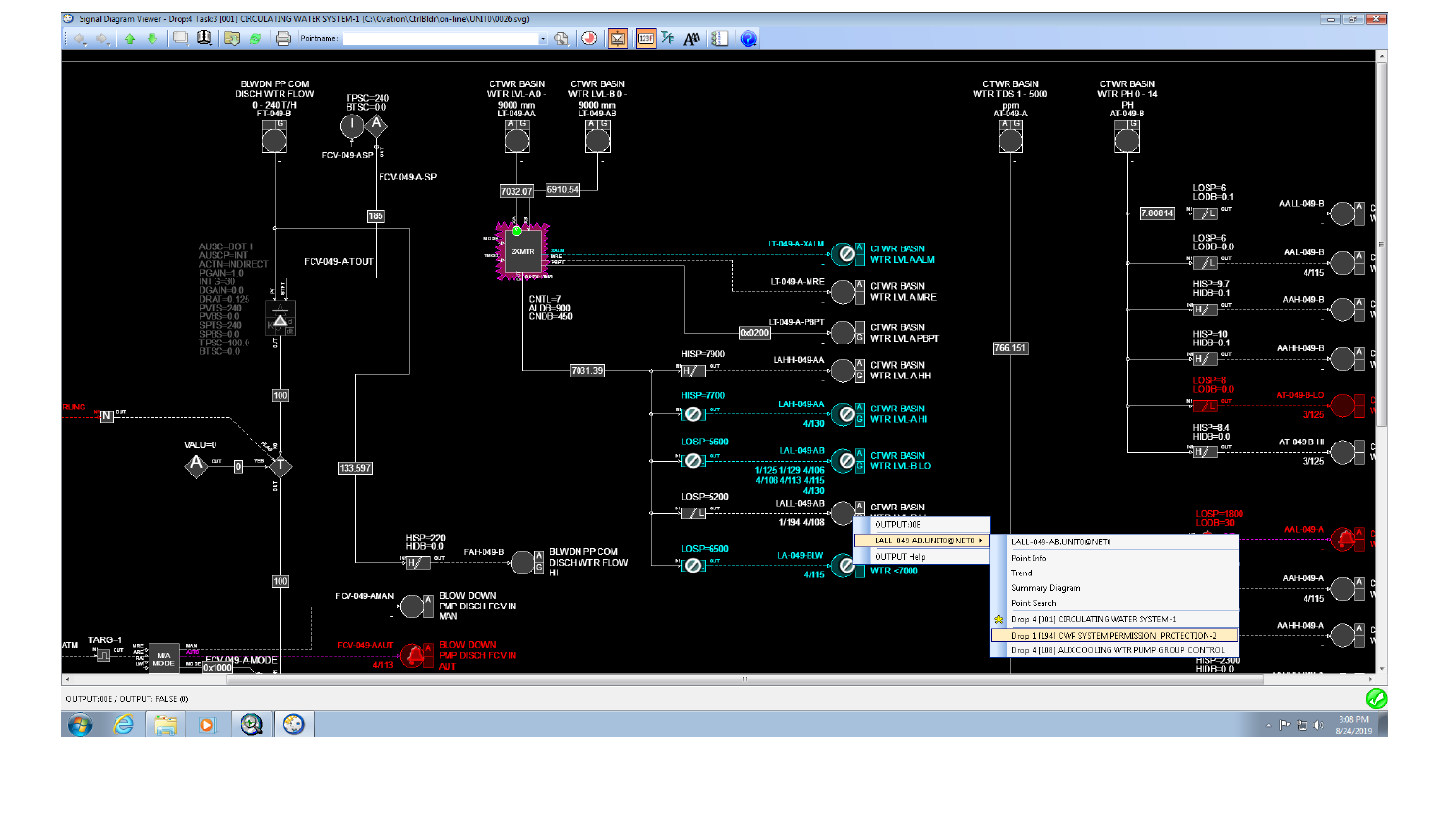

Co Signal Diagram Viewer - Drop:4 Task:3 [001] CIRCULATING WATER SYSTEM-1 (C:\Ovation\CtrlBldr\on-line\UNIT0\0026.svg)

 $\Box$   $\Box$   $\Box$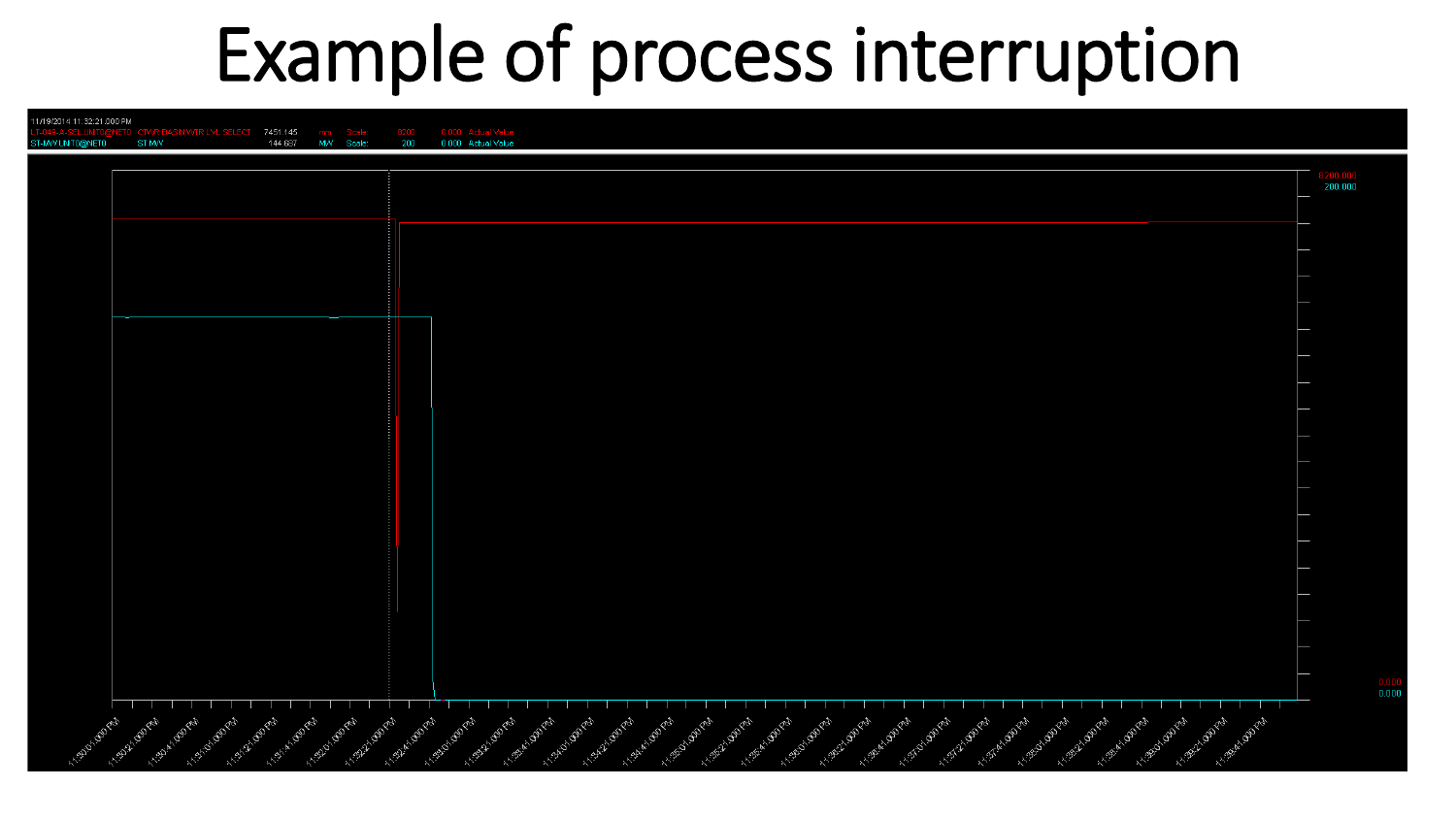# Example of process interruption

| 11/19/2014 11:32:21.000 PM |                                                                      |                                   |                            |                                                                                                                                                                                                                                                                                                                                   |                                               |
|----------------------------|----------------------------------------------------------------------|-----------------------------------|----------------------------|-----------------------------------------------------------------------------------------------------------------------------------------------------------------------------------------------------------------------------------------------------------------------------------------------------------------------------------|-----------------------------------------------|
| ST-MV/UNIT0@NET0           | ST MW                                                                | 7451.145<br>144.687<br>MVV Scale: | 200                        | 0.000 Actual Value<br>0.000 Actual Value                                                                                                                                                                                                                                                                                          |                                               |
|                            |                                                                      |                                   |                            |                                                                                                                                                                                                                                                                                                                                   |                                               |
|                            |                                                                      |                                   |                            |                                                                                                                                                                                                                                                                                                                                   | 200.000                                       |
|                            |                                                                      |                                   |                            |                                                                                                                                                                                                                                                                                                                                   |                                               |
|                            |                                                                      |                                   |                            |                                                                                                                                                                                                                                                                                                                                   |                                               |
|                            |                                                                      |                                   |                            |                                                                                                                                                                                                                                                                                                                                   |                                               |
|                            |                                                                      |                                   |                            |                                                                                                                                                                                                                                                                                                                                   |                                               |
|                            |                                                                      |                                   |                            |                                                                                                                                                                                                                                                                                                                                   |                                               |
|                            |                                                                      |                                   |                            |                                                                                                                                                                                                                                                                                                                                   |                                               |
|                            |                                                                      |                                   |                            |                                                                                                                                                                                                                                                                                                                                   |                                               |
|                            |                                                                      |                                   |                            |                                                                                                                                                                                                                                                                                                                                   |                                               |
|                            |                                                                      |                                   |                            |                                                                                                                                                                                                                                                                                                                                   |                                               |
|                            |                                                                      |                                   |                            |                                                                                                                                                                                                                                                                                                                                   |                                               |
|                            |                                                                      |                                   |                            |                                                                                                                                                                                                                                                                                                                                   |                                               |
|                            |                                                                      |                                   |                            |                                                                                                                                                                                                                                                                                                                                   |                                               |
|                            |                                                                      |                                   |                            |                                                                                                                                                                                                                                                                                                                                   |                                               |
|                            |                                                                      |                                   |                            |                                                                                                                                                                                                                                                                                                                                   |                                               |
|                            |                                                                      |                                   |                            |                                                                                                                                                                                                                                                                                                                                   |                                               |
|                            |                                                                      |                                   |                            |                                                                                                                                                                                                                                                                                                                                   |                                               |
|                            |                                                                      |                                   |                            |                                                                                                                                                                                                                                                                                                                                   |                                               |
|                            |                                                                      |                                   |                            |                                                                                                                                                                                                                                                                                                                                   |                                               |
|                            |                                                                      |                                   |                            |                                                                                                                                                                                                                                                                                                                                   |                                               |
|                            |                                                                      |                                   |                            |                                                                                                                                                                                                                                                                                                                                   |                                               |
|                            |                                                                      |                                   |                            |                                                                                                                                                                                                                                                                                                                                   |                                               |
|                            |                                                                      |                                   |                            |                                                                                                                                                                                                                                                                                                                                   |                                               |
|                            |                                                                      |                                   |                            |                                                                                                                                                                                                                                                                                                                                   |                                               |
|                            |                                                                      |                                   |                            |                                                                                                                                                                                                                                                                                                                                   |                                               |
|                            |                                                                      |                                   |                            |                                                                                                                                                                                                                                                                                                                                   | $\begin{array}{c} 0.000 \\ 0.000 \end{array}$ |
|                            |                                                                      |                                   |                            |                                                                                                                                                                                                                                                                                                                                   |                                               |
|                            |                                                                      |                                   |                            | A MOREL ORIVER<br>Aggingence                                                                                                                                                                                                                                                                                                      |                                               |
| <b>Algoritorial</b>        | A 139-20 (Barry<br>11.35 El Obra<br>1-139-A (Born<br>1.35-0.00 miles | A 3201 Obert<br>ASSALADED         | ASSESSMENT<br>AISEA (ODPER | A MARY ABVEY<br>A Bent Opport<br>A BEDTONY<br>A 13521-00 PM<br>A TOMAL DOVE<br>Accept de Library<br>Argent (Born<br>Action (2017)<br>A. Stationary<br>1-135-2-2021-4<br>A SEAL ODER<br>I research of the<br>I regional point<br>A BEEF (DOVER)<br>A BEAT (BOTH)<br>Assistance of<br>A STATE OUTER<br>A STATES PARK<br>A SECTIONAL |                                               |
|                            |                                                                      |                                   |                            |                                                                                                                                                                                                                                                                                                                                   |                                               |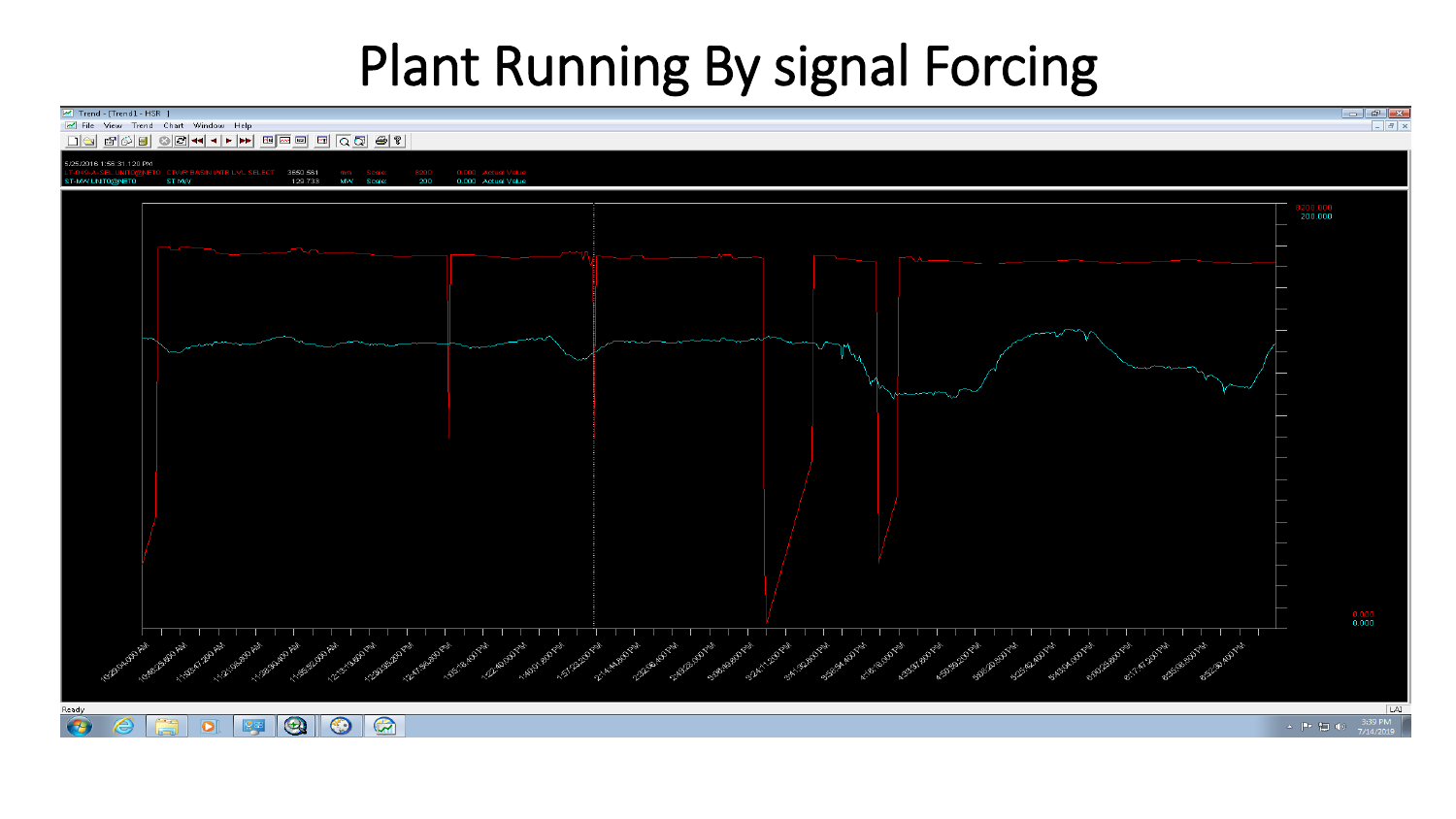### Plant Running By signal Forcing

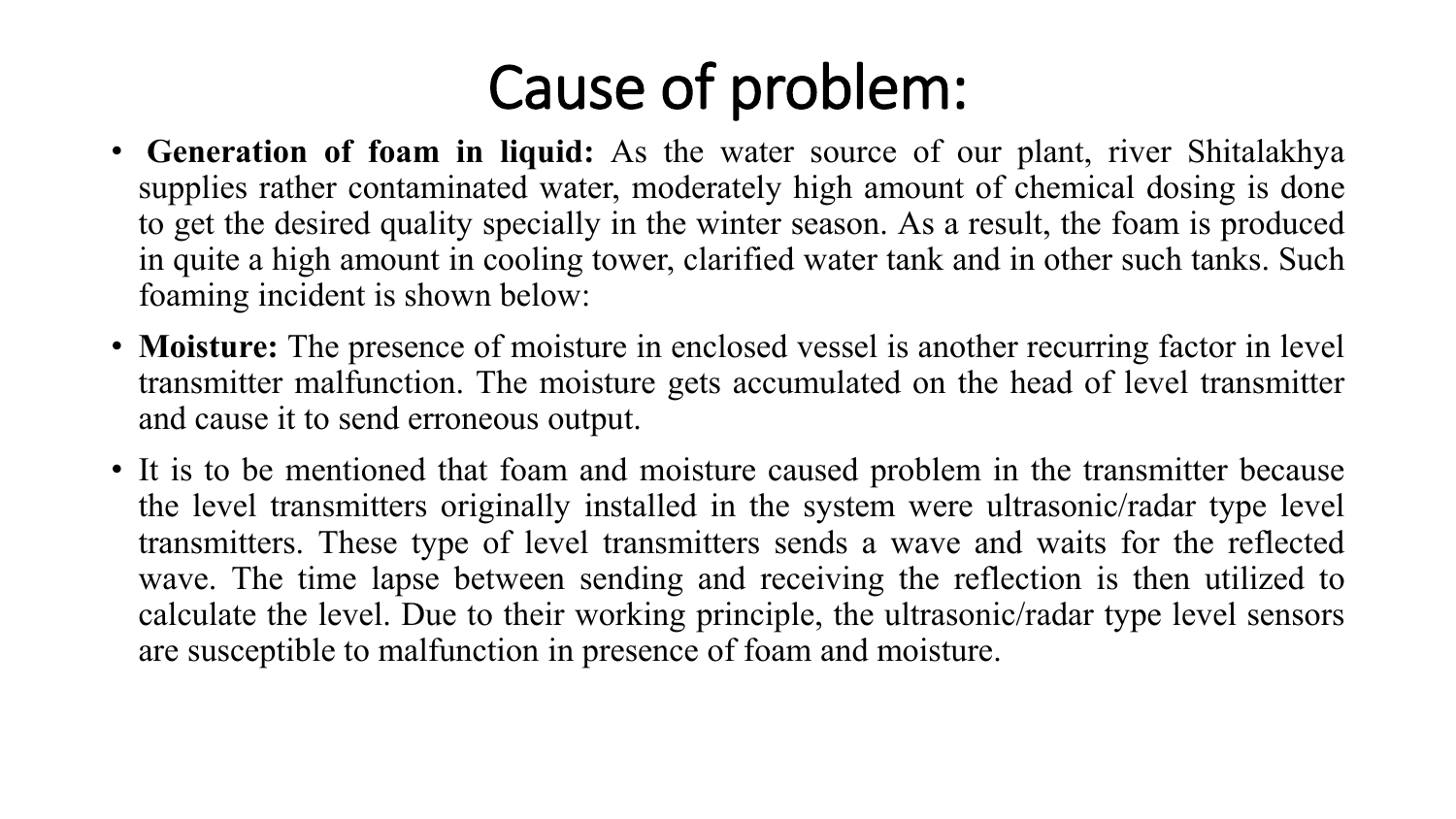# Cause of problem:

- **Generation of foam in liquid:** As the water source of our plant, river Shitalakhya supplies rather contaminated water, moderately high amount of chemical dosing is done to get the desired quality specially in the winter season. As a result, the foam is produced in quite a high amount in cooling tower, clarified water tank and in other such tanks. Such foaming incident is shown below:
- **Moisture:** The presence of moisture in enclosed vessel is another recurring factor in level transmitter malfunction. The moisture gets accumulated on the head of level transmitter and cause it to send erroneous output.
- It is to be mentioned that foam and moisture caused problem in the transmitter because the level transmitters originally installed in the system were ultrasonic/radar type level transmitters. These type of level transmitters sends a wave and waits for the reflected wave. The time lapse between sending and receiving the reflection is then utilized to calculate the level. Due to their working principle, the ultrasonic/radar type level sensors are susceptible to malfunction in presence of foam and moisture.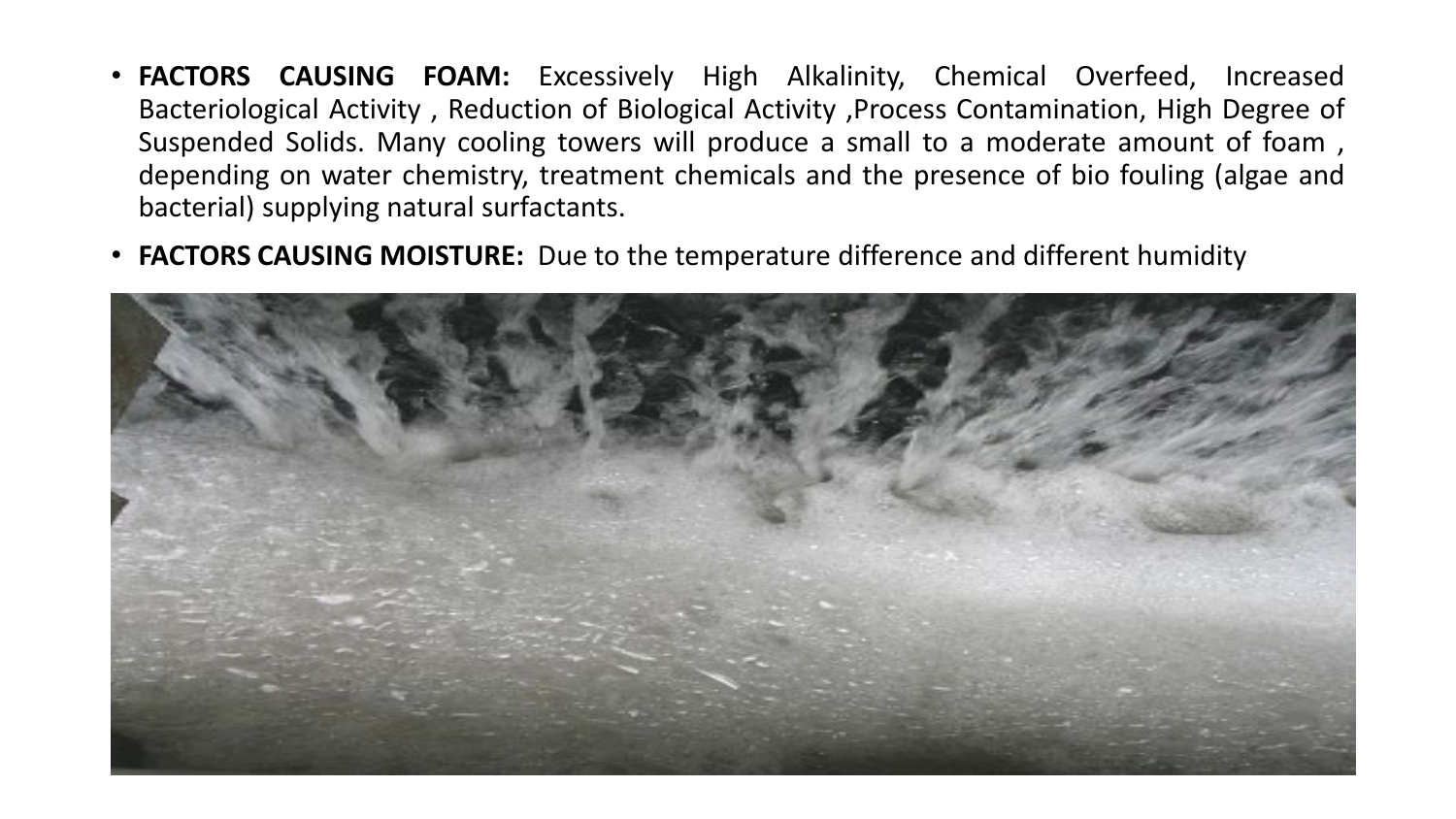- **FACTORS CAUSING FOAM:** Excessively High Alkalinity, Chemical Overfeed, Increased Bacteriological Activity , Reduction of Biological Activity ,Process Contamination, High Degree of Suspended Solids. Many cooling towers will produce a small to a moderate amount of foam , depending on water chemistry, treatment chemicals and the presence of bio fouling (algae and bacterial) supplying natural surfactants.
- **FACTORS CAUSING MOISTURE:** Due to the temperature difference and different humidity

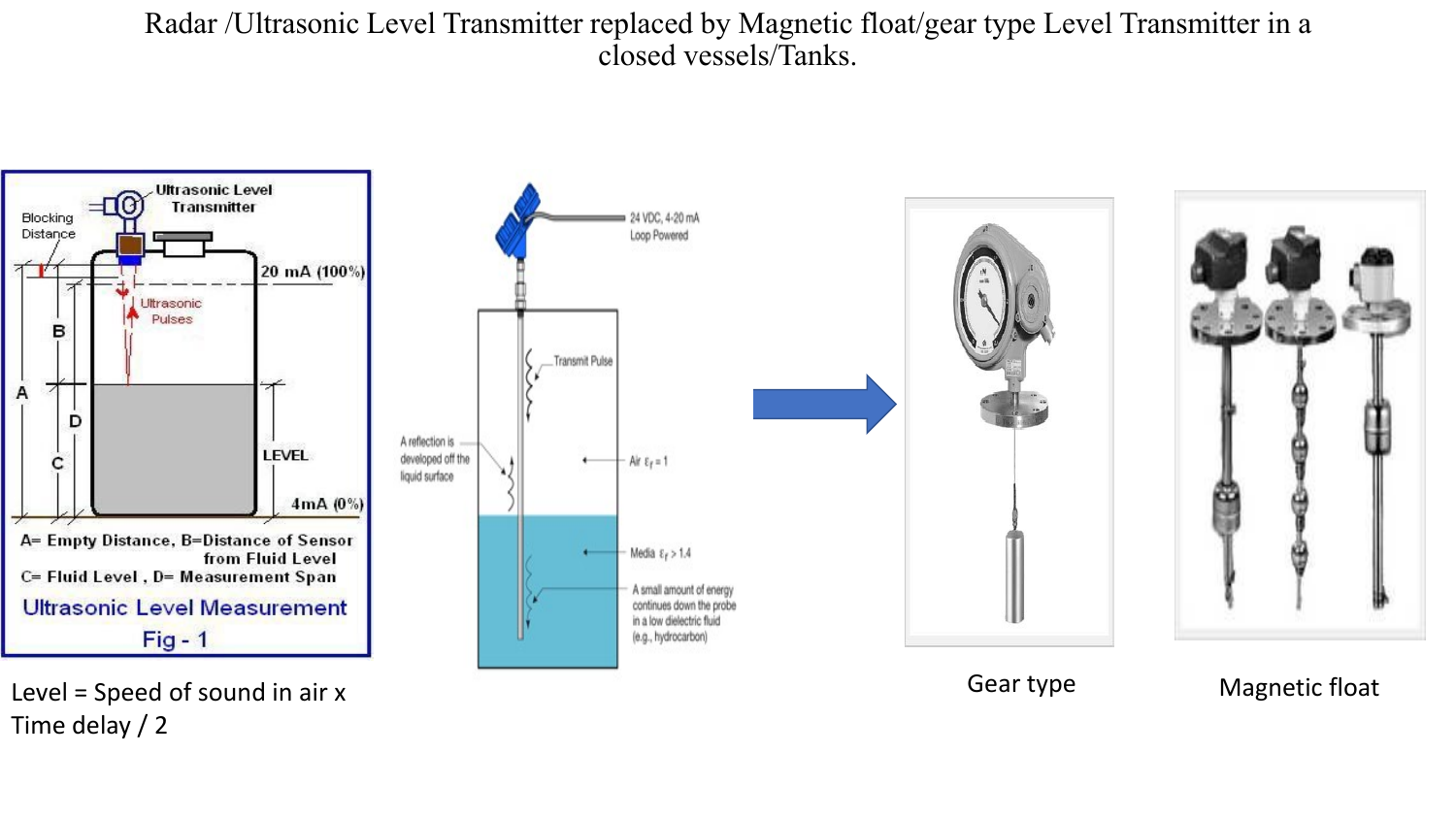Radar /Ultrasonic Level Transmitter replaced by Magnetic float/gear type Level Transmitter in a closed vessels/Tanks.



Time delay / 2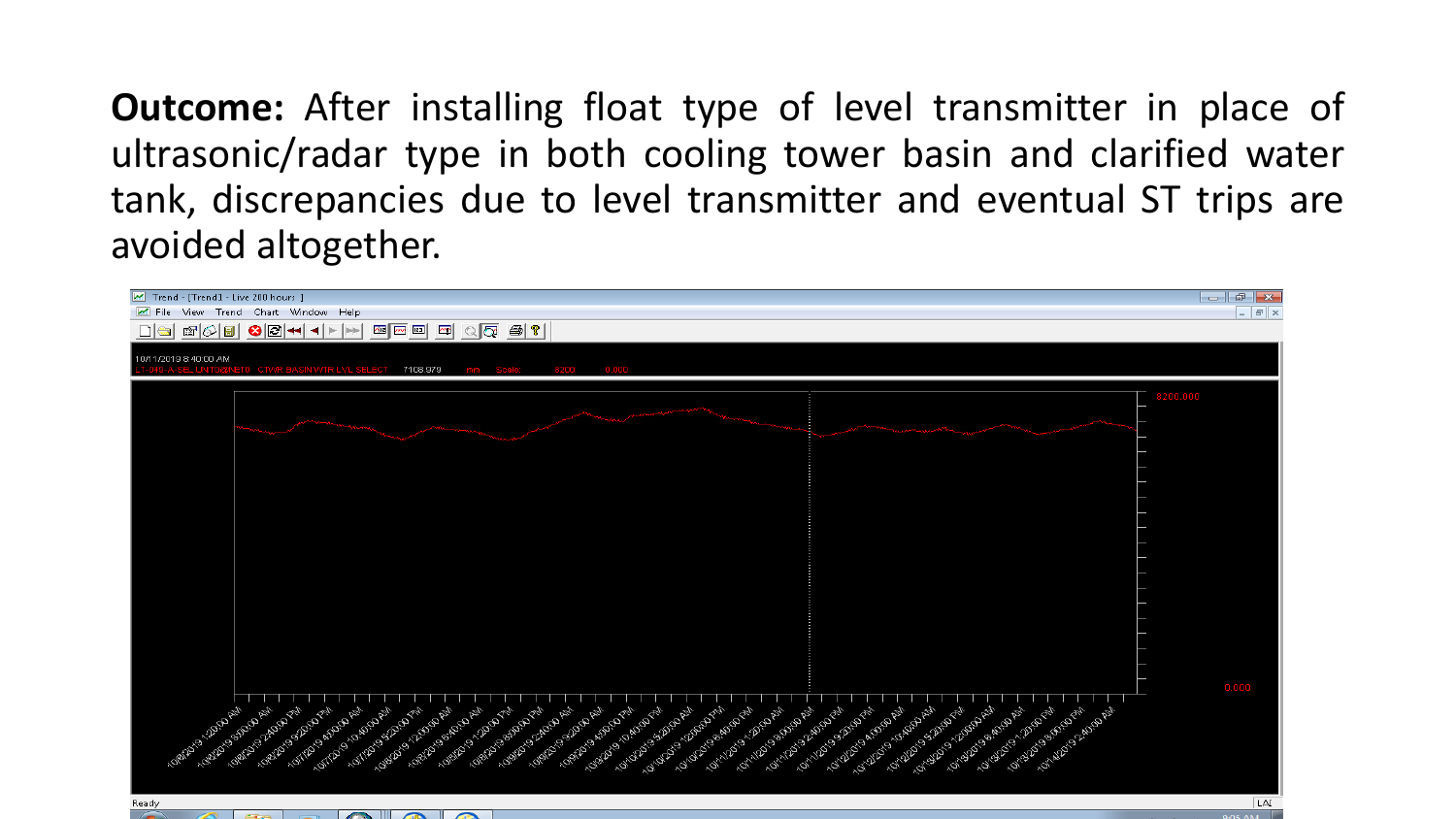**Outcome:** After installing float type of level transmitter in place of ultrasonic/radar type in both cooling tower basin and clarified water tank, discrepancies due to level transmitter and eventual ST trips are avoided altogether.